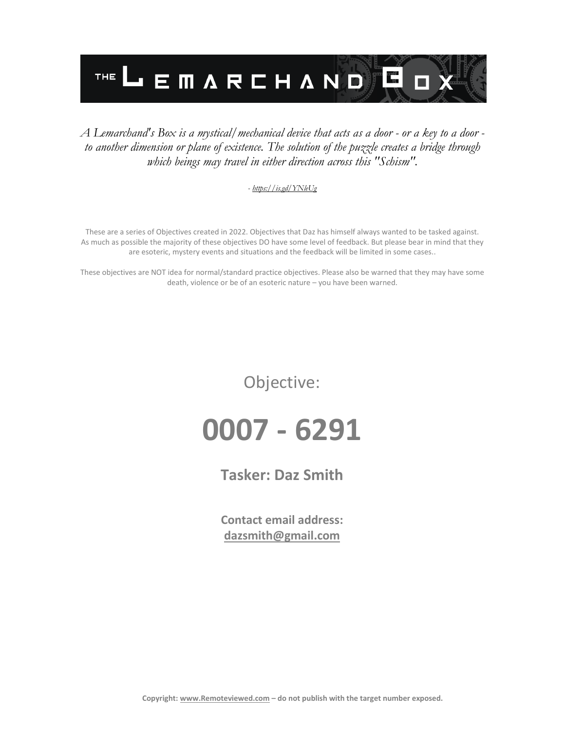

### *A Lemarchand's Box is a mystical/mechanical device that acts as a door - or a key to a door to another dimension or plane of existence. The solution of the puzzle creates a bridge through which beings may travel in either direction across this "Schism".*

#### *- <https://is.gd/YNleUg>*

These are a series of Objectives created in 2022. Objectives that Daz has himself always wanted to be tasked against. As much as possible the majority of these objectives DO have some level of feedback. But please bear in mind that they are esoteric, mystery events and situations and the feedback will be limited in some cases..

These objectives are NOT idea for normal/standard practice objectives. Please also be warned that they may have some death, violence or be of an esoteric nature – you have been warned.

Objective:

**0007 - 6291**

**Tasker: Daz Smith**

**Contact email address: [dazsmith@gmail.com](mailto:dazsmith@gmail.com)**